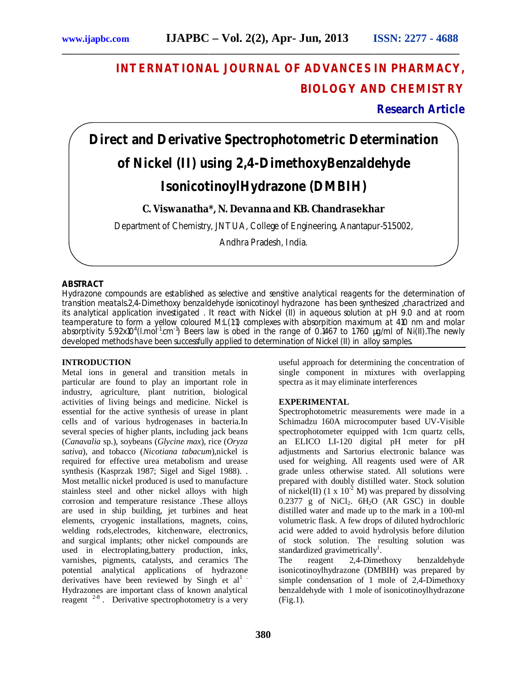# **INTERNATIONAL JOURNAL OF ADVANCES IN PHARMACY, BIOLOGY AND CHEMISTRY**

## **Research Article**

# **Direct and Derivative Spectrophotometric Determination of Nickel (II) using 2,4-DimethoxyBenzaldehyde IsonicotinoylHydrazone (DMBIH)**

**\_\_\_\_\_\_\_\_\_\_\_\_\_\_\_\_\_\_\_\_\_\_\_\_\_\_\_\_\_\_\_\_\_\_\_\_\_\_\_\_\_\_\_\_\_\_\_\_\_\_\_\_\_\_\_\_\_\_\_\_\_\_\_\_\_\_\_\_\_\_\_\_\_\_\_\_\_\_\_\_\_\_\_\_**

### **C. Viswanatha\*, N. Devanna and KB. Chandrasekhar**

Department of Chemistry, JNTUA, College of Engineering, Anantapur-515002,

Andhra Pradesh, India.

#### **ABSTRACT**

Hydrazone compounds are established as selective and sensitive analytical reagents for the determination of transition meatals.2,4-Dimethoxy benzaldehyde isonicotinoyl hydrazone has been synthesized ,charactrized and its analytical application investigated . It react with Nickel (II) in aqueous solution at pH 9.0 and at room teamperature to form a yellow coloured M:L(1:1) complexes with absorpition maximum at 410 nm and molar absorptivity 5.92x10<sup>4</sup>(l.mol<sup>-1</sup>.cm<sup>-1</sup>) Beers law is obed in the range of 0.1467 to 1.760 µg/ml of Ni(II).The newly developed methods have been successfully applied to determination of Nickel (II) in alloy samples.

#### **INTRODUCTION**

Metal ions in general and transition metals in particular are found to play an important role in industry, agriculture, plant nutrition, biological activities of living beings and medicine. Nickel is essential for the active synthesis of urease in plant cells and of various hydrogenases in bacteria.In several species of higher plants, including jack beans (*Canavalia* sp.), soybeans (*Glycine max*), rice (*Oryza sativa*), and tobacco (*Nicotiana tabacum*),nickel is required for effective urea metabolism and urease synthesis (Kasprzak 1987; Sigel and Sigel 1988). . Most metallic nickel produced is used to manufacture stainless steel and other nickel alloys with high corrosion and temperature resistance .These alloys are used in ship building, jet turbines and heat elements, cryogenic installations, magnets, coins, welding rods,electrodes, kitchenware, electronics, and surgical implants; other nickel compounds are used in electroplating,battery production, inks, varnishes, pigments, catalysts, and ceramics The potential analytical applications of hydrazone derivatives have been reviewed by Singh et  $al<sup>1</sup>$ . Hydrazones are important class of known analytical reagent  $2-8$ . Derivative spectrophotometry is a very

useful approach for determining the concentration of single component in mixtures with overlapping spectra as it may eliminate interferences

#### **EXPERIMENTAL**

Spectrophotometric measurements were made in a Schimadzu 160A microcomputer based UV-Visible spectrophotometer equipped with 1cm quartz cells, an ELICO LI-120 digital pH meter for pH adjustments and Sartorius electronic balance was used for weighing. All reagents used were of AR grade unless otherwise stated. All solutions were prepared with doubly distilled water. Stock solution of nickel(II) (1 x  $10^{-2}$  M) was prepared by dissolving  $0.2377$  g of NiCl<sub>2</sub>.  $6H<sub>2</sub>O$  (AR GSC) in double distilled water and made up to the mark in a 100-ml volumetric flask. A few drops of diluted hydrochloric acid were added to avoid hydrolysis before dilution of stock solution. The resulting solution was standardized gravimetrically<sup>1</sup>.

The reagent 2,4-Dimethoxy benzaldehyde isonicotinoylhydrazone (DMBIH) was prepared by simple condensation of 1 mole of 2,4-Dimethoxy benzaldehyde with 1 mole of isonicotinoylhydrazone (Fig.1).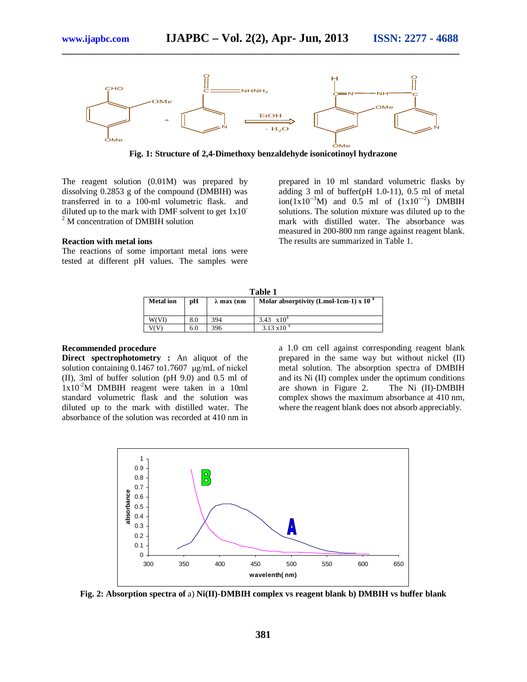

**\_\_\_\_\_\_\_\_\_\_\_\_\_\_\_\_\_\_\_\_\_\_\_\_\_\_\_\_\_\_\_\_\_\_\_\_\_\_\_\_\_\_\_\_\_\_\_\_\_\_\_\_\_\_\_\_\_\_\_\_\_\_\_\_\_\_\_\_\_\_\_\_\_\_\_\_\_\_\_\_\_\_\_\_**

**Fig. 1: Structure of 2,4-Dimethoxy benzaldehyde isonicotinoyl hydrazone**

The reagent solution (0.01M) was prepared by dissolving 0.2853 g of the compound (DMBIH) was transferred in to a 100-ml volumetric flask. and diluted up to the mark with DMF solvent to get 1x10- <sup>2</sup> M concentration of DMBIH solution

#### **Reaction with metal ions**

The reactions of some important metal ions were tested at different pH values. The samples were prepared in 10 ml standard volumetric flasks by adding 3 ml of buffer(pH 1.0-11), 0.5 ml of metal  $\text{ion}(1x10^{-3}M)$  and 0.5 ml of  $(1x10^{-2})$  DMBIH solutions. The solution mixture was diluted up to the mark with distilled water. The absorbance was measured in 200-800 nm range against reagent blank. The results are summarized in Table 1.

| Table 1          |     |                    |                                          |  |  |  |  |
|------------------|-----|--------------------|------------------------------------------|--|--|--|--|
| <b>Metal</b> ion | pН  | $\lambda$ max (nm) | Molar absorptivity (Lmol-1cm-1) x 10 $4$ |  |  |  |  |
|                  |     |                    |                                          |  |  |  |  |
| W(VI)            | 8.0 | 394                | 3.43 $\times 10^4$                       |  |  |  |  |
|                  | 6.0 | 396                | $3.13 \times 10^{-4}$                    |  |  |  |  |

#### **Recommended procedure**

**Direct spectrophotometry :** An aliquot of the solution containing 0.1467 to1.7607 μg/mL of nickel (II), 3ml of buffer solution (pH 9.0) and 0.5 ml of  $1x10<sup>-2</sup>M$  DMBIH reagent were taken in a 10ml standard volumetric flask and the solution was diluted up to the mark with distilled water. The absorbance of the solution was recorded at 410 nm in

a 1.0 cm cell against corresponding reagent blank prepared in the same way but without nickel (II) metal solution. The absorption spectra of DMBIH and its Ni (II) complex under the optimum conditions are shown in Figure 2. The Ni (II)-DMBIH complex shows the maximum absorbance at 410 nm, where the reagent blank does not absorb appreciably.



**Fig. 2: Absorption spectra of** a) **Ni(II)-DMBIH complex vs reagent blank b) DMBIH vs buffer blank**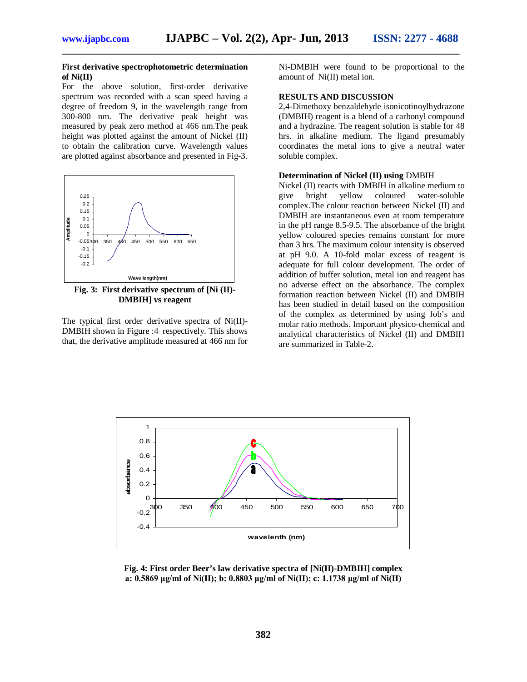**\_\_\_\_\_\_\_\_\_\_\_\_\_\_\_\_\_\_\_\_\_\_\_\_\_\_\_\_\_\_\_\_\_\_\_\_\_\_\_\_\_\_\_\_\_\_\_\_\_\_\_\_\_\_\_\_\_\_\_\_\_\_\_\_\_\_\_\_\_\_\_\_\_\_\_\_\_\_\_\_\_\_\_\_**

#### **First derivative spectrophotometric determination of Ni(II)**

For the above solution, first-order derivative spectrum was recorded with a scan speed having a degree of freedom 9, in the wavelength range from 300-800 nm. The derivative peak height was measured by peak zero method at 466 nm.The peak height was plotted against the amount of Nickel (II) to obtain the calibration curve. Wavelength values are plotted against absorbance and presented in Fig-3.



**Fig. 3: First derivative spectrum of [Ni (II)- DMBIH] vs reagent**

The typical first order derivative spectra of Ni(II)- DMBIH shown in Figure :4 respectively. This shows that, the derivative amplitude measured at 466 nm for Ni-DMBIH were found to be proportional to the amount of Ni(II) metal ion.

#### **RESULTS AND DISCUSSION**

2,4-Dimethoxy benzaldehyde isonicotinoylhydrazone (DMBIH) reagent is a blend of a carbonyl compound and a hydrazine. The reagent solution is stable for 48 hrs. in alkaline medium. The ligand presumably coordinates the metal ions to give a neutral water soluble complex.

#### **Determination of Nickel (II) using** DMBIH

Nickel (II) reacts with DMBIH in alkaline medium to give bright yellow coloured water-soluble complex.The colour reaction between Nickel (II) and DMBIH are instantaneous even at room temperature in the pH range 8.5-9.5. The absorbance of the bright yellow coloured species remains constant for more than 3 hrs. The maximum colour intensity is observed at pH 9.0. A 10-fold molar excess of reagent is adequate for full colour development. The order of addition of buffer solution, metal ion and reagent has no adverse effect on the absorbance. The complex formation reaction between Nickel (II) and DMBIH has been studied in detail based on the composition of the complex as determined by using Job's and molar ratio methods. Important physico-chemical and analytical characteristics of Nickel (II) and DMBIH are summarized in Table-2.



**Fig. 4: First order Beer's law derivative spectra of [Ni(II)-DMBIH] complex a: 0.5869 μg/ml of Ni(II); b: 0.8803 μg/ml of Ni(II); c: 1.1738 μg/ml of Ni(II)**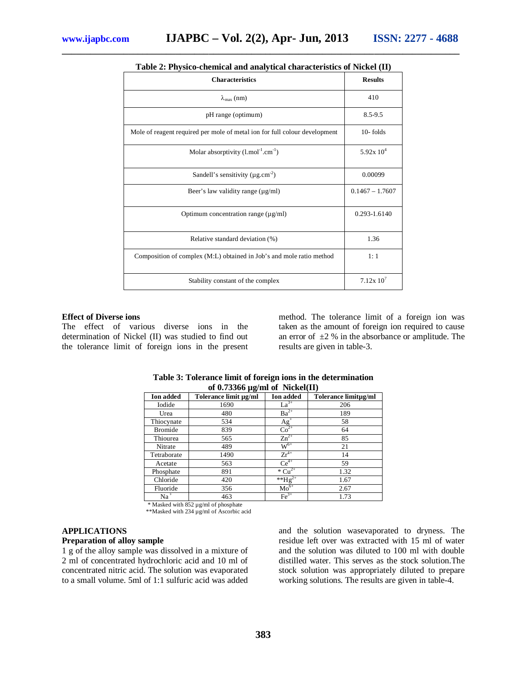| <b>Characteristics</b>                                                     | <b>Results</b>       |  |
|----------------------------------------------------------------------------|----------------------|--|
| $\lambda_{\max}$ (nm)                                                      | 410                  |  |
| pH range (optimum)                                                         | $8.5 - 9.5$          |  |
| Mole of reagent required per mole of metal ion for full colour development | $10 -$ folds         |  |
| Molar absorptivity $(l \cdot \text{mol}^{-1} \cdot \text{cm}^{-1})$        | $5.92x 10^4$         |  |
| Sandell's sensitivity ( $\mu$ g.cm <sup>-2</sup> )                         | 0.00099              |  |
| Beer's law validity range $(\mu g/ml)$                                     | $0.1467 - 1.7607$    |  |
| Optimum concentration range $(\mu g/ml)$                                   | 0.293-1.6140         |  |
| Relative standard deviation (%)                                            | 1.36                 |  |
| Composition of complex (M:L) obtained in Job's and mole ratio method       | 1:1                  |  |
| Stability constant of the complex                                          | 7.12x10 <sup>7</sup> |  |

#### **Table 2: Physico-chemical and analytical characteristics of Nickel (II)**

**\_\_\_\_\_\_\_\_\_\_\_\_\_\_\_\_\_\_\_\_\_\_\_\_\_\_\_\_\_\_\_\_\_\_\_\_\_\_\_\_\_\_\_\_\_\_\_\_\_\_\_\_\_\_\_\_\_\_\_\_\_\_\_\_\_\_\_\_\_\_\_\_\_\_\_\_\_\_\_\_\_\_\_\_**

#### **Effect of Diverse ions**

The effect of various diverse ions in the determination of Nickel (II) was studied to find out the tolerance limit of foreign ions in the present

method. The tolerance limit of a foreign ion was taken as the amount of foreign ion required to cause an error of  $\pm 2$  % in the absorbance or amplitude. The results are given in table-3.

| 01 U. <i>133</i> 00 µ2/1111 01 TVICKCI(11) |                       |                                      |                      |  |  |  |  |  |  |
|--------------------------------------------|-----------------------|--------------------------------------|----------------------|--|--|--|--|--|--|
| <b>Ion added</b>                           | Tolerance limit µg/ml | <b>Ion</b> added                     | Tolerance limitµg/ml |  |  |  |  |  |  |
| Iodide                                     | 1690                  | $La^{3+}$                            | 206                  |  |  |  |  |  |  |
| Urea                                       | 480                   | $Ba^{2+}$                            | 189                  |  |  |  |  |  |  |
| Thiocynate                                 | 534                   | $\frac{\text{Ag}^+}{\text{Co}^{2+}}$ | 58                   |  |  |  |  |  |  |
| <b>Bromide</b>                             | 839                   |                                      | 64                   |  |  |  |  |  |  |
| Thiourea                                   | 565                   | $Zn^{2+}$                            | 85                   |  |  |  |  |  |  |
| Nitrate                                    | 489                   | $\rm W^{6+}$                         | 21                   |  |  |  |  |  |  |
| Tetraborate                                | 1490                  | $Zr^{4+}$                            | 14                   |  |  |  |  |  |  |
| Acetate                                    | 563                   | $\overline{\text{Ce}^{4+}}$          | 59                   |  |  |  |  |  |  |
| Phosphate                                  | 891                   | $\overline{C}u^{2+}$                 | 1.32                 |  |  |  |  |  |  |
| Chloride                                   | 420                   | ** $Hg^2$                            | 1.67                 |  |  |  |  |  |  |
| Fluoride                                   | 356                   | $Mo^{6+}$                            | 2.67                 |  |  |  |  |  |  |
| $Na+$                                      | 463                   | $\text{Fe}^{3+}$                     | 1.73                 |  |  |  |  |  |  |

**Table 3: Tolerance limit of foreign ions in the determination of 0.73366 µg/ml of Nickel(II)**

\* Masked with 852 µg/ml of phosphate

\*\*Masked with 234 µg/ml of Ascorbic acid

#### **APPLICATIONS**

#### **Preparation of alloy sample**

1 g of the alloy sample was dissolved in a mixture of 2 ml of concentrated hydrochloric acid and 10 ml of concentrated nitric acid. The solution was evaporated to a small volume. 5ml of 1:1 sulfuric acid was added and the solution wasevaporated to dryness. The residue left over was extracted with 15 ml of water and the solution was diluted to 100 ml with double distilled water. This serves as the stock solution.The stock solution was appropriately diluted to prepare working solutions. The results are given in table-4.